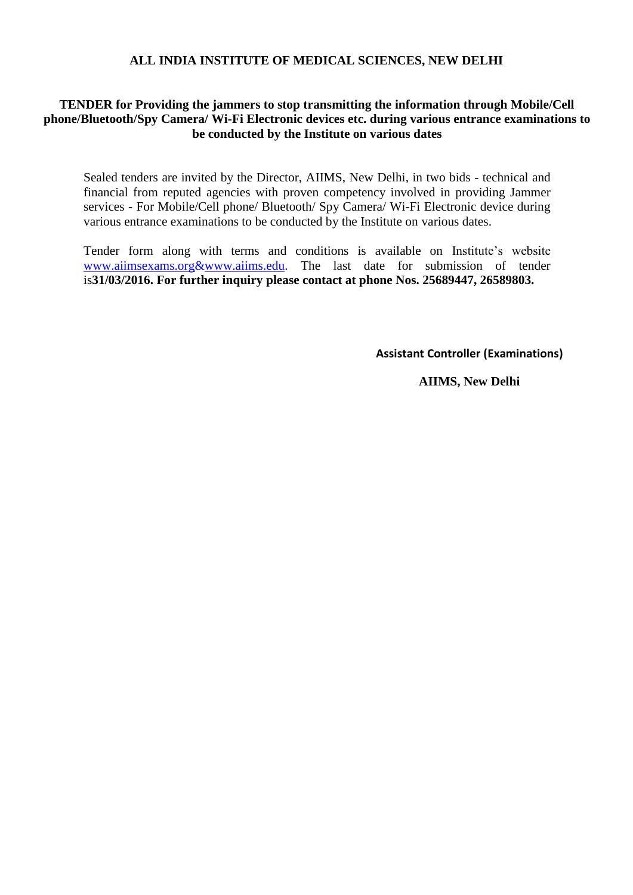#### **ALL INDIA INSTITUTE OF MEDICAL SCIENCES, NEW DELHI**

## **TENDER for Providing the jammers to stop transmitting the information through Mobile/Cell phone/Bluetooth/Spy Camera/ Wi-Fi Electronic devices etc. during various entrance examinations to be conducted by the Institute on various dates**

Sealed tenders are invited by the Director, AIIMS, New Delhi, in two bids - technical and financial from reputed agencies with proven competency involved in providing Jammer services - For Mobile/Cell phone/ Bluetooth/ Spy Camera/ Wi-Fi Electronic device during various entrance examinations to be conducted by the Institute on various dates.

Tender form along with terms and conditions is available on Institute's website [www.aiimsexams.org](http://www.aiimsexams.org/)[&www.aiims.edu.](file:///C:\Users\hp\AppData\Roaming\Microsoft\Word\www.aiims.edu) The last date for submission of tender is**31/03/2016. For further inquiry please contact at phone Nos. 25689447, 26589803.**

**Assistant Controller (Examinations)**

**AIIMS, New Delhi**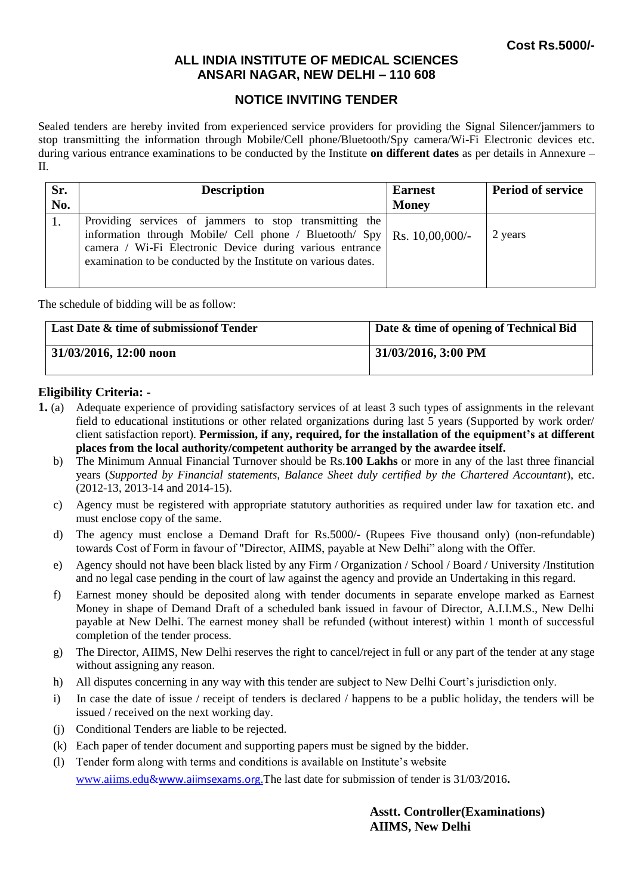## **ALL INDIA INSTITUTE OF MEDICAL SCIENCES ANSARI NAGAR, NEW DELHI – 110 608**

## **NOTICE INVITING TENDER**

Sealed tenders are hereby invited from experienced service providers for providing the Signal Silencer/jammers to stop transmitting the information through Mobile/Cell phone/Bluetooth/Spy camera/Wi-Fi Electronic devices etc. during various entrance examinations to be conducted by the Institute **on different dates** as per details in Annexure – II.

| Sr.<br>No. | <b>Description</b>                                                                                                                                                                                                                                                | <b>Earnest</b><br><b>Money</b> | <b>Period of service</b> |
|------------|-------------------------------------------------------------------------------------------------------------------------------------------------------------------------------------------------------------------------------------------------------------------|--------------------------------|--------------------------|
|            | Providing services of jammers to stop transmitting the<br>information through Mobile/ Cell phone / Bluetooth/ Spy   Rs. 10,00,000/-<br>camera / Wi-Fi Electronic Device during various entrance<br>examination to be conducted by the Institute on various dates. |                                | 2 years                  |

The schedule of bidding will be as follow:

| Last Date & time of submission of Tender | Date & time of opening of Technical Bid |
|------------------------------------------|-----------------------------------------|
| $131/03/2016$ , 12:00 noon               | 31/03/2016, 3:00 PM                     |

#### **Eligibility Criteria: -**

- **1.** (a) Adequate experience of providing satisfactory services of at least 3 such types of assignments in the relevant field to educational institutions or other related organizations during last 5 years (Supported by work order/ client satisfaction report). **Permission, if any, required, for the installation of the equipment's at different places from the local authority/competent authority be arranged by the awardee itself.**
	- b) The Minimum Annual Financial Turnover should be Rs.**100 Lakhs** or more in any of the last three financial years (*Supported by Financial statements, Balance Sheet duly certified by the Chartered Accountant*), etc. (2012-13, 2013-14 and 2014-15).
	- c) Agency must be registered with appropriate statutory authorities as required under law for taxation etc. and must enclose copy of the same.
	- d) The agency must enclose a Demand Draft for Rs.5000/- (Rupees Five thousand only) (non-refundable) towards Cost of Form in favour of "Director, AIIMS, payable at New Delhi" along with the Offer.
	- e) Agency should not have been black listed by any Firm / Organization / School / Board / University /Institution and no legal case pending in the court of law against the agency and provide an Undertaking in this regard.
	- f) Earnest money should be deposited along with tender documents in separate envelope marked as Earnest Money in shape of Demand Draft of a scheduled bank issued in favour of Director, A.I.I.M.S., New Delhi payable at New Delhi. The earnest money shall be refunded (without interest) within 1 month of successful completion of the tender process.
	- g) The Director, AIIMS, New Delhi reserves the right to cancel/reject in full or any part of the tender at any stage without assigning any reason.
	- h) All disputes concerning in any way with this tender are subject to New Delhi Court's jurisdiction only.
	- i) In case the date of issue / receipt of tenders is declared / happens to be a public holiday, the tenders will be issued / received on the next working day.
	- (j) Conditional Tenders are liable to be rejected.
	- (k) Each paper of tender document and supporting papers must be signed by the bidder.
	- (l) Tender form along with terms and conditions is available on Institute's website [www.aiims.edu&](http://www.aiims.edu/)www.aiimsexams.org.The last date for submission of tender is 31/03/2016**.**

**Asstt. Controller(Examinations) AIIMS, New Delhi**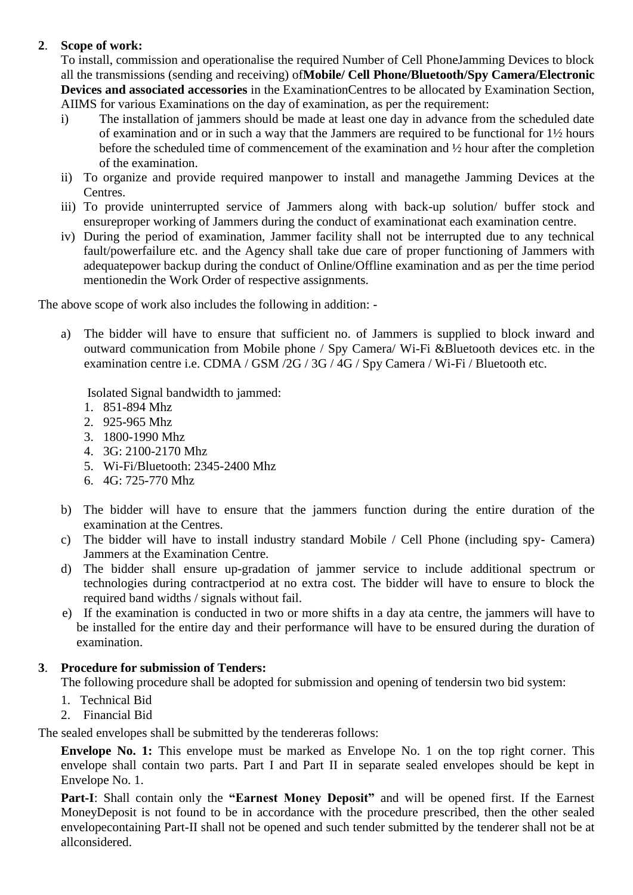# **2**. **Scope of work:**

To install, commission and operationalise the required Number of Cell PhoneJamming Devices to block all the transmissions (sending and receiving) of**Mobile/ Cell Phone/Bluetooth/Spy Camera/Electronic Devices and associated accessories** in the ExaminationCentres to be allocated by Examination Section, AIIMS for various Examinations on the day of examination, as per the requirement:

- i) The installation of jammers should be made at least one day in advance from the scheduled date of examination and or in such a way that the Jammers are required to be functional for 1½ hours before the scheduled time of commencement of the examination and ½ hour after the completion of the examination.
- ii) To organize and provide required manpower to install and managethe Jamming Devices at the Centres.
- iii) To provide uninterrupted service of Jammers along with back-up solution/ buffer stock and ensureproper working of Jammers during the conduct of examinationat each examination centre.
- iv) During the period of examination, Jammer facility shall not be interrupted due to any technical fault/powerfailure etc. and the Agency shall take due care of proper functioning of Jammers with adequatepower backup during the conduct of Online/Offline examination and as per the time period mentionedin the Work Order of respective assignments.

The above scope of work also includes the following in addition: -

a) The bidder will have to ensure that sufficient no. of Jammers is supplied to block inward and outward communication from Mobile phone / Spy Camera/ Wi-Fi &Bluetooth devices etc. in the examination centre i.e. CDMA / GSM /2G / 3G / 4G / Spy Camera / Wi-Fi / Bluetooth etc.

Isolated Signal bandwidth to jammed:

- 1. 851-894 Mhz
- 2. 925-965 Mhz
- 3. 1800-1990 Mhz
- 4. 3G: 2100-2170 Mhz
- 5. Wi-Fi/Bluetooth: 2345-2400 Mhz
- 6. 4G: 725-770 Mhz
- b) The bidder will have to ensure that the jammers function during the entire duration of the examination at the Centres.
- c) The bidder will have to install industry standard Mobile / Cell Phone (including spy- Camera) Jammers at the Examination Centre.
- d) The bidder shall ensure up-gradation of jammer service to include additional spectrum or technologies during contractperiod at no extra cost. The bidder will have to ensure to block the required band widths / signals without fail.
- e) If the examination is conducted in two or more shifts in a day ata centre, the jammers will have to be installed for the entire day and their performance will have to be ensured during the duration of examination.

## **3**. **Procedure for submission of Tenders:**

The following procedure shall be adopted for submission and opening of tendersin two bid system:

- 1. Technical Bid
- 2. Financial Bid

The sealed envelopes shall be submitted by the tendereras follows:

**Envelope No. 1:** This envelope must be marked as Envelope No. 1 on the top right corner. This envelope shall contain two parts. Part I and Part II in separate sealed envelopes should be kept in Envelope No. 1.

**Part-I**: Shall contain only the **"Earnest Money Deposit"** and will be opened first. If the Earnest MoneyDeposit is not found to be in accordance with the procedure prescribed, then the other sealed envelopecontaining Part-II shall not be opened and such tender submitted by the tenderer shall not be at allconsidered.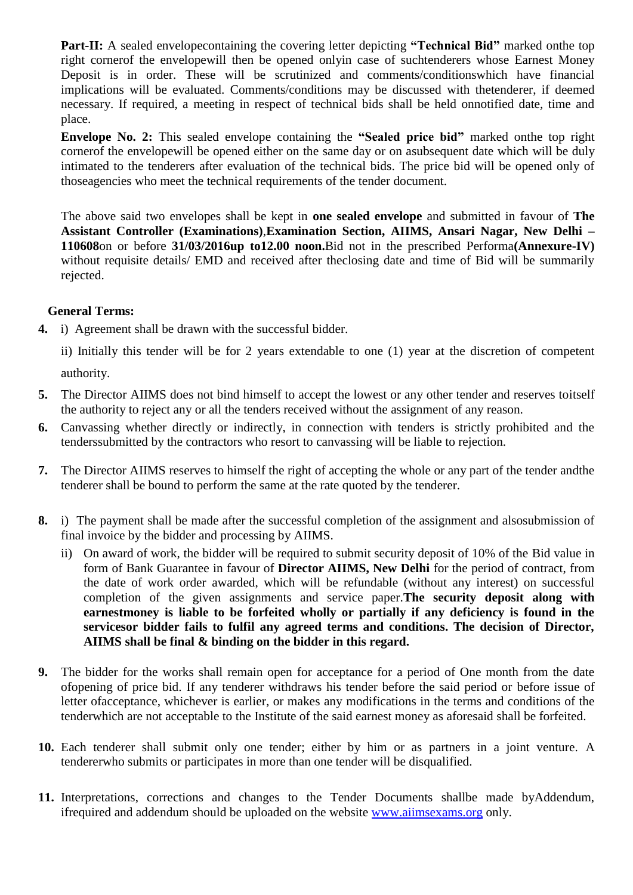**Part-II:** A sealed envelopecontaining the covering letter depicting **"Technical Bid"** marked onthe top right cornerof the envelopewill then be opened onlyin case of suchtenderers whose Earnest Money Deposit is in order. These will be scrutinized and comments/conditionswhich have financial implications will be evaluated. Comments/conditions may be discussed with thetenderer, if deemed necessary. If required, a meeting in respect of technical bids shall be held onnotified date, time and place.

**Envelope No. 2:** This sealed envelope containing the **"Sealed price bid"** marked onthe top right cornerof the envelopewill be opened either on the same day or on asubsequent date which will be duly intimated to the tenderers after evaluation of the technical bids. The price bid will be opened only of thoseagencies who meet the technical requirements of the tender document.

The above said two envelopes shall be kept in **one sealed envelope** and submitted in favour of **The Assistant Controller (Examinations)**,**Examination Section, AIIMS, Ansari Nagar, New Delhi – 110608**on or before **31/03/2016up to12.00 noon.**Bid not in the prescribed Performa**(Annexure-IV)** without requisite details/ EMD and received after theclosing date and time of Bid will be summarily rejected.

## **General Terms:**

**4.** i) Agreement shall be drawn with the successful bidder.

ii) Initially this tender will be for 2 years extendable to one (1) year at the discretion of competent

authority.

- **5.** The Director AIIMS does not bind himself to accept the lowest or any other tender and reserves toitself the authority to reject any or all the tenders received without the assignment of any reason.
- **6.** Canvassing whether directly or indirectly, in connection with tenders is strictly prohibited and the tenderssubmitted by the contractors who resort to canvassing will be liable to rejection.
- **7.** The Director AIIMS reserves to himself the right of accepting the whole or any part of the tender andthe tenderer shall be bound to perform the same at the rate quoted by the tenderer.
- **8.** i) The payment shall be made after the successful completion of the assignment and alsosubmission of final invoice by the bidder and processing by AIIMS.
	- ii) On award of work, the bidder will be required to submit security deposit of 10% of the Bid value in form of Bank Guarantee in favour of **Director AIIMS, New Delhi** for the period of contract, from the date of work order awarded, which will be refundable (without any interest) on successful completion of the given assignments and service paper.**The security deposit along with earnestmoney is liable to be forfeited wholly or partially if any deficiency is found in the servicesor bidder fails to fulfil any agreed terms and conditions. The decision of Director, AIIMS shall be final & binding on the bidder in this regard.**
- **9.** The bidder for the works shall remain open for acceptance for a period of One month from the date ofopening of price bid. If any tenderer withdraws his tender before the said period or before issue of letter ofacceptance, whichever is earlier, or makes any modifications in the terms and conditions of the tenderwhich are not acceptable to the Institute of the said earnest money as aforesaid shall be forfeited.
- **10.** Each tenderer shall submit only one tender; either by him or as partners in a joint venture. A tendererwho submits or participates in more than one tender will be disqualified.
- **11.** Interpretations, corrections and changes to the Tender Documents shallbe made byAddendum, ifrequired and addendum should be uploaded on the website [www.aiimsexams.org](http://www.aiimsexams.org/) only.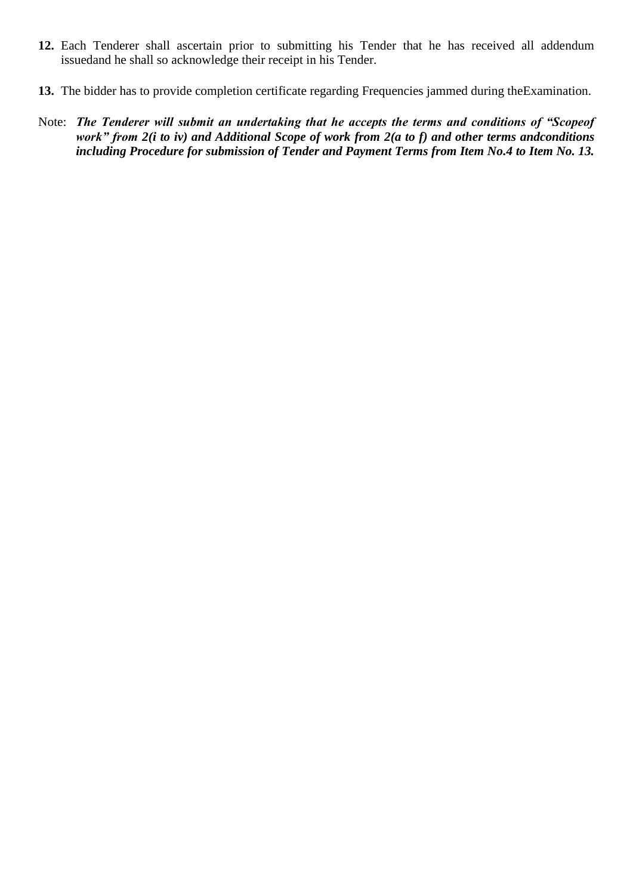- **12.** Each Tenderer shall ascertain prior to submitting his Tender that he has received all addendum issuedand he shall so acknowledge their receipt in his Tender.
- **13.** The bidder has to provide completion certificate regarding Frequencies jammed during theExamination.
- Note: *The Tenderer will submit an undertaking that he accepts the terms and conditions of "Scopeof work" from 2(i to iv) and Additional Scope of work from 2(a to f) and other terms andconditions including Procedure for submission of Tender and Payment Terms from Item No.4 to Item No. 13.*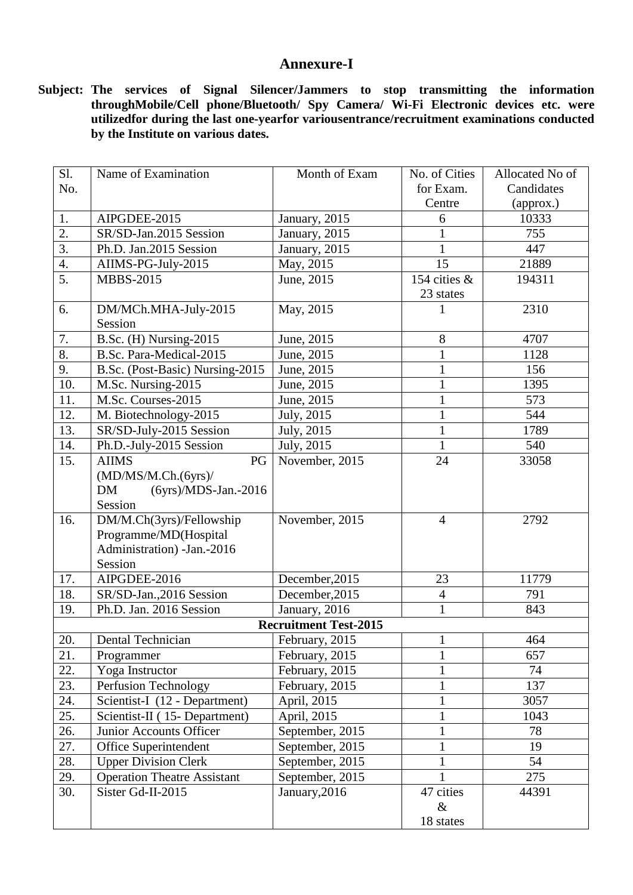# **Annexure-I**

**Subject: The services of Signal Silencer/Jammers to stop transmitting the information throughMobile/Cell phone/Bluetooth/ Spy Camera/ Wi-Fi Electronic devices etc. were utilizedfor during the last one-yearfor variousentrance/recruitment examinations conducted by the Institute on various dates.**

| Sl.              | Name of Examination                 | Month of Exam                | No. of Cities  | Allocated No of |
|------------------|-------------------------------------|------------------------------|----------------|-----------------|
| No.              |                                     |                              | for Exam.      | Candidates      |
|                  |                                     |                              | Centre         | (approx.)       |
| 1.               | AIPGDEE-2015                        | January, $2015$              | 6              | 10333           |
| 2.               | SR/SD-Jan.2015 Session              | January, 2015                | 1              | 755             |
| $\overline{3}$ . | Ph.D. Jan.2015 Session              | January, 2015                | $\mathbf{1}$   | 447             |
| $\overline{4}$ . | AIIMS-PG-July-2015                  | May, 2015                    | 15             | 21889           |
| $\overline{5}$ . | <b>MBBS-2015</b>                    | June, 2015                   | 154 cities &   | 194311          |
|                  |                                     |                              | 23 states      |                 |
| 6.               | DM/MCh.MHA-July-2015                | May, 2015                    |                | 2310            |
|                  | Session                             |                              |                |                 |
| 7.               | B.Sc. (H) Nursing-2015              | June, 2015                   | 8              | 4707            |
| 8.               | B.Sc. Para-Medical-2015             | June, 2015                   | $\mathbf{1}$   | 1128            |
| 9.               | B.Sc. (Post-Basic) Nursing-2015     | June, 2015                   | $\mathbf{1}$   | 156             |
| 10.              | M.Sc. Nursing-2015                  | June, 2015                   | $\mathbf{1}$   | 1395            |
| 11.              | M.Sc. Courses-2015                  | June, 2015                   | $\mathbf{1}$   | 573             |
| 12.              | M. Biotechnology-2015               | July, 2015                   | $\mathbf{1}$   | 544             |
| 13.              | SR/SD-July-2015 Session             | July, 2015                   | $\mathbf{1}$   | 1789            |
| 14.              | Ph.D.-July-2015 Session             | July, 2015                   | $\mathbf{1}$   | 540             |
| 15.              | <b>AIIMS</b><br>PG                  | November, $\overline{2015}$  | 24             | 33058           |
|                  | (MD/MS/M.Ch.(6yrs)/                 |                              |                |                 |
|                  | <b>DM</b><br>$(6yrs)/MDS-Jan.-2016$ |                              |                |                 |
|                  | Session                             |                              |                |                 |
| 16.              | DM/M.Ch(3yrs)/Fellowship            | November, 2015               | $\overline{4}$ | 2792            |
|                  | Programme/MD(Hospital               |                              |                |                 |
|                  | Administration) - Jan. - 2016       |                              |                |                 |
|                  | Session                             |                              |                |                 |
| 17.              | AIPGDEE-2016                        | December, 2015               | 23             | 11779           |
| 18.              | SR/SD-Jan., 2016 Session            | December, 2015               | $\overline{4}$ | 791             |
| 19.              | Ph.D. Jan. 2016 Session             | January, 2016                | $\mathbf{1}$   | 843             |
|                  |                                     | <b>Recruitment Test-2015</b> |                |                 |
| 20.              | Dental Technician                   | February, 2015               | $\mathbf{1}$   | 464             |
| 21.              | Programmer                          | February, 2015               | $\mathbf{1}$   | 657             |
| 22.              | Yoga Instructor                     | February, 2015               | $\mathbf{1}$   | 74              |
| 23.              | Perfusion Technology                | February, 2015               | $\mathbf{1}$   | 137             |
| 24.              | Scientist-I (12 - Department)       | April, 2015                  | $\mathbf{1}$   | 3057            |
| 25.              | Scientist-II (15- Department)       | April, 2015                  | $\mathbf{1}$   | 1043            |
| 26.              | Junior Accounts Officer             | September, 2015              | $\mathbf{1}$   | 78              |
| 27.              | Office Superintendent               | September, 2015              | $\mathbf{1}$   | 19              |
| 28.              | <b>Upper Division Clerk</b>         | September, 2015              | $\mathbf{1}$   | 54              |
| 29.              | <b>Operation Theatre Assistant</b>  | September, 2015              |                | 275             |
| 30.              | Sister Gd-II-2015                   | January, 2016                | 47 cities      | 44391           |
|                  |                                     |                              | $\&$           |                 |
|                  |                                     |                              | 18 states      |                 |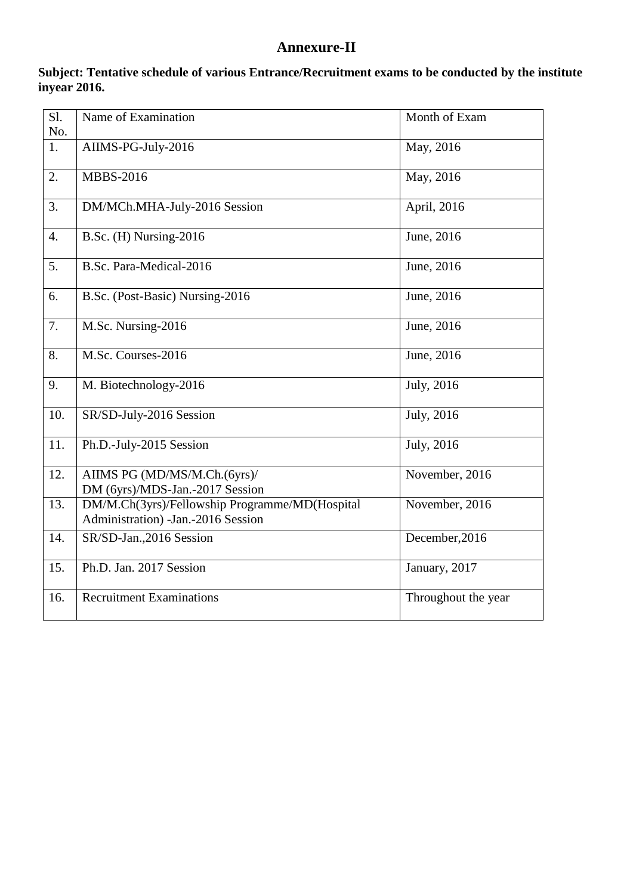# **Annexure-II**

| Sl.              | Name of Examination                                                                     | Month of Exam       |
|------------------|-----------------------------------------------------------------------------------------|---------------------|
| No.              |                                                                                         |                     |
| $\overline{1}$ . | AIIMS-PG-July-2016                                                                      | May, 2016           |
| 2.               | <b>MBBS-2016</b>                                                                        | May, 2016           |
| 3.               | DM/MCh.MHA-July-2016 Session                                                            | April, 2016         |
| $\overline{4}$ . | B.Sc. (H) Nursing-2016                                                                  | June, 2016          |
| 5.               | B.Sc. Para-Medical-2016                                                                 | June, 2016          |
| 6.               | B.Sc. (Post-Basic) Nursing-2016                                                         | June, 2016          |
| 7.               | M.Sc. Nursing-2016                                                                      | June, 2016          |
| 8.               | M.Sc. Courses-2016                                                                      | June, 2016          |
| 9.               | M. Biotechnology-2016                                                                   | July, 2016          |
| 10.              | SR/SD-July-2016 Session                                                                 | July, 2016          |
| 11.              | Ph.D.-July-2015 Session                                                                 | July, 2016          |
| 12.              | AIIMS PG (MD/MS/M.Ch.(6yrs)/<br>DM (6yrs)/MDS-Jan.-2017 Session                         | November, 2016      |
| 13.              | DM/M.Ch(3yrs)/Fellowship Programme/MD(Hospital<br>Administration) - Jan. - 2016 Session | November, 2016      |
| 14.              | SR/SD-Jan., 2016 Session                                                                | December, 2016      |
| 15.              | Ph.D. Jan. 2017 Session                                                                 | January, 2017       |
| 16.              | Recruitment Examinations                                                                | Throughout the year |

## **Subject: Tentative schedule of various Entrance/Recruitment exams to be conducted by the institute inyear 2016.**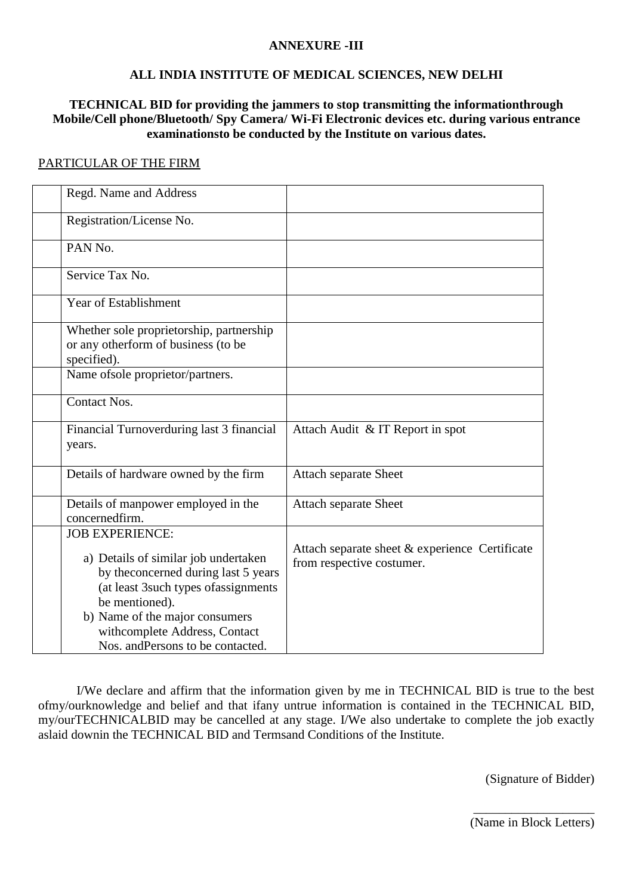#### **ANNEXURE -III**

## **ALL INDIA INSTITUTE OF MEDICAL SCIENCES, NEW DELHI**

## **TECHNICAL BID for providing the jammers to stop transmitting the informationthrough Mobile/Cell phone/Bluetooth/ Spy Camera/ Wi-Fi Electronic devices etc. during various entrance examinationsto be conducted by the Institute on various dates.**

#### PARTICULAR OF THE FIRM

| Regd. Name and Address                                                                                                                                                                                                                                                      |                                                                             |
|-----------------------------------------------------------------------------------------------------------------------------------------------------------------------------------------------------------------------------------------------------------------------------|-----------------------------------------------------------------------------|
|                                                                                                                                                                                                                                                                             |                                                                             |
| Registration/License No.                                                                                                                                                                                                                                                    |                                                                             |
| PAN No.                                                                                                                                                                                                                                                                     |                                                                             |
| Service Tax No.                                                                                                                                                                                                                                                             |                                                                             |
| Year of Establishment                                                                                                                                                                                                                                                       |                                                                             |
| Whether sole proprietorship, partnership<br>or any otherform of business (to be<br>specified).                                                                                                                                                                              |                                                                             |
| Name of sole proprietor/partners.                                                                                                                                                                                                                                           |                                                                             |
| Contact Nos.                                                                                                                                                                                                                                                                |                                                                             |
| Financial Turnoverduring last 3 financial<br>years.                                                                                                                                                                                                                         | Attach Audit & IT Report in spot                                            |
| Details of hardware owned by the firm                                                                                                                                                                                                                                       | <b>Attach separate Sheet</b>                                                |
| Details of manpower employed in the<br>concernedfirm.                                                                                                                                                                                                                       | <b>Attach separate Sheet</b>                                                |
| <b>JOB EXPERIENCE:</b><br>a) Details of similar job undertaken<br>by the<br>concerned during last 5 years<br>(at least 3such types of assignments<br>be mentioned).<br>b) Name of the major consumers<br>withcomplete Address, Contact<br>Nos. and Persons to be contacted. | Attach separate sheet & experience Certificate<br>from respective costumer. |

I/We declare and affirm that the information given by me in TECHNICAL BID is true to the best ofmy/ourknowledge and belief and that ifany untrue information is contained in the TECHNICAL BID, my/ourTECHNICALBID may be cancelled at any stage. I/We also undertake to complete the job exactly aslaid downin the TECHNICAL BID and Termsand Conditions of the Institute.

(Signature of Bidder)

\_\_\_\_\_\_\_\_\_\_\_\_\_\_\_\_\_\_\_ (Name in Block Letters)